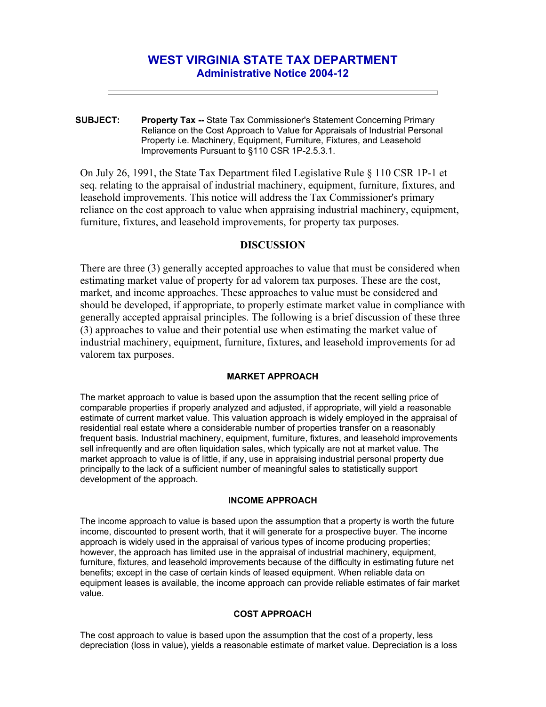# **WEST VIRGINIA STATE TAX DEPARTMENT Administrative Notice 2004-12**

**SUBJECT: Property Tax --** State Tax Commissioner's Statement Concerning Primary Reliance on the Cost Approach to Value for Appraisals of Industrial Personal Property i.e. Machinery, Equipment, Furniture, Fixtures, and Leasehold Improvements Pursuant to §110 CSR 1P-2.5.3.1.

On July 26, 1991, the State Tax Department filed Legislative Rule § 110 CSR 1P-1 et seq. relating to the appraisal of industrial machinery, equipment, furniture, fixtures, and leasehold improvements. This notice will address the Tax Commissioner's primary reliance on the cost approach to value when appraising industrial machinery, equipment, furniture, fixtures, and leasehold improvements, for property tax purposes.

## **DISCUSSION**

There are three (3) generally accepted approaches to value that must be considered when estimating market value of property for ad valorem tax purposes. These are the cost, market, and income approaches. These approaches to value must be considered and should be developed, if appropriate, to properly estimate market value in compliance with generally accepted appraisal principles. The following is a brief discussion of these three (3) approaches to value and their potential use when estimating the market value of industrial machinery, equipment, furniture, fixtures, and leasehold improvements for ad valorem tax purposes.

#### **MARKET APPROACH**

The market approach to value is based upon the assumption that the recent selling price of comparable properties if properly analyzed and adjusted, if appropriate, will yield a reasonable estimate of current market value. This valuation approach is widely employed in the appraisal of residential real estate where a considerable number of properties transfer on a reasonably frequent basis. Industrial machinery, equipment, furniture, fixtures, and leasehold improvements sell infrequently and are often liquidation sales, which typically are not at market value. The market approach to value is of little, if any, use in appraising industrial personal property due principally to the lack of a sufficient number of meaningful sales to statistically support development of the approach.

### **INCOME APPROACH**

The income approach to value is based upon the assumption that a property is worth the future income, discounted to present worth, that it will generate for a prospective buyer. The income approach is widely used in the appraisal of various types of income producing properties; however, the approach has limited use in the appraisal of industrial machinery, equipment, furniture, fixtures, and leasehold improvements because of the difficulty in estimating future net benefits; except in the case of certain kinds of leased equipment. When reliable data on equipment leases is available, the income approach can provide reliable estimates of fair market value.

## **COST APPROACH**

The cost approach to value is based upon the assumption that the cost of a property, less depreciation (loss in value), yields a reasonable estimate of market value. Depreciation is a loss